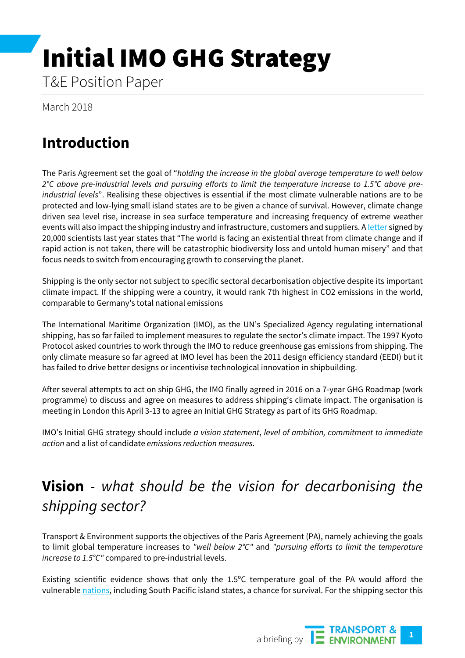# Initial IMO GHG Strategy

T&E Position Paper

March 2018

# **Introduction**

The Paris Agreement set the goal of "*holding the increase in the global average temperature to well below 2°C above pre-industrial levels and pursuing efforts to limit the temperature increase to 1.5°C above preindustrial levels*". Realising these objectives is essential if the most climate vulnerable nations are to be protected and low-lying small island states are to be given a chance of survival. However, climate change driven sea level rise, increase in sea surface temperature and increasing frequency of extreme weather events will also impact the shipping industry and infrastructure, customers and suppliers. [A letter](http://www.independent.co.uk/environment/letter-to-humanity-scientists-warning-climate-change-global-warming-experts-a8243606.html) signed by 20,000 scientists last year states that "The world is facing an existential threat from climate change and if rapid action is not taken, there will be catastrophic biodiversity loss and untold human misery" and that focus needs to switch from encouraging growth to conserving the planet.

Shipping is the only sector not subject to specific sectoral decarbonisation objective despite its important climate impact. If the shipping were a country, it would rank 7th highest in CO2 emissions in the world, comparable to Germany's total national emissions

The International Maritime Organization (IMO), as the UN's Specialized Agency regulating international shipping, has so far failed to implement measures to regulate the sector's climate impact. The 1997 Kyoto Protocol asked countries to work through the IMO to reduce greenhouse gas emissions from shipping. The only climate measure so far agreed at IMO level has been the 2011 design efficiency standard (EEDI) but it has failed to drive better designs or incentivise technological innovation in shipbuilding.

After several attempts to act on ship GHG, the IMO finally agreed in 2016 on a 7-year GHG Roadmap (work programme) to discuss and agree on measures to address shipping's climate impact. The organisation is meeting in London this April 3-13 to agree an Initial GHG Strategy as part of its GHG Roadmap.

IMO's Initial GHG strategy should include *a vision statement*, *level of ambition, commitment to immediate action* and a list of candidate *emissions reduction measures*.

# **Vision** *- what should be the vision for decarbonising the shipping sector?*

Transport & Environment supports the objectives of the Paris Agreement (PA), namely achieving the goals to limit global temperature increases to *"well below 2°C"* and *"pursuing efforts to limit the temperature increase to 1.5°C"* compared to pre-industrial levels.

Existing scientific evidence shows that only the 1.5ºC temperature goal of the PA would afford the vulnerabl[e nations,](https://www.theguardian.com/global-development/2015/nov/30/paris-climate-talks-vulnerable-countries-demand-15c-warming-limit) including South Pacific island states, a chance for survival. For the shipping sector this

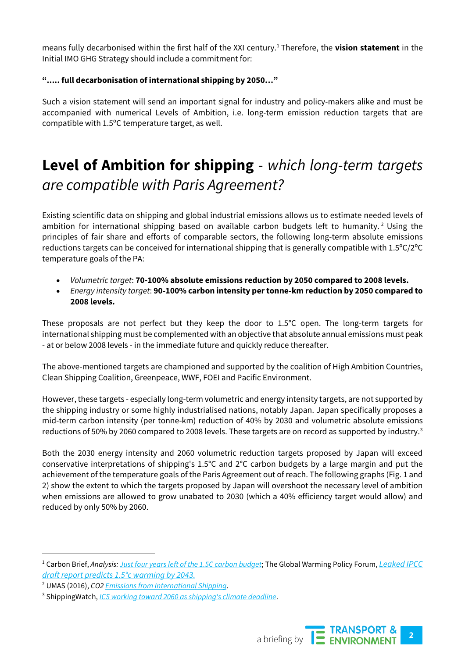means fully decarbonised within the first half of the XXI century.[1](#page-1-0) Therefore, the **vision statement** in the Initial IMO GHG Strategy should include a commitment for:

#### **"..... full decarbonisation of international shipping by 2050…"**

Such a vision statement will send an important signal for industry and policy-makers alike and must be accompanied with numerical Levels of Ambition, i.e. long-term emission reduction targets that are compatible with 1.5ºC temperature target, as well.

# **Level of Ambition for shipping** - *which long-term targets are compatible with Paris Agreement?*

Existing scientific data on shipping and global industrial emissions allows us to estimate needed levels of ambition for international shipping based on available carbon budgets left to humanity.<sup>[2](#page-1-1)</sup> Using the principles of fair share and efforts of comparable sectors, the following long-term absolute emissions reductions targets can be conceived for international shipping that is generally compatible with 1.5ºC/2ºC temperature goals of the PA:

- *Volumetric target*: **70-100% absolute emissions reduction by 2050 compared to 2008 levels.**
- *Energy intensity target*: **90-100% carbon intensity per tonne-km reduction by 2050 compared to 2008 levels.**

These proposals are not perfect but they keep the door to 1.5°C open. The long-term targets for international shipping must be complemented with an objective that absolute annual emissions must peak - at or below 2008 levels - in the immediate future and quickly reduce thereafter.

The above-mentioned targets are championed and supported by the coalition of High Ambition Countries, Clean Shipping Coalition, Greenpeace, WWF, FOEI and Pacific Environment.

However, these targets - especially long-term volumetric and energy intensity targets, are not supported by the shipping industry or some highly industrialised nations, notably Japan. Japan specifically proposes a mid-term carbon intensity (per tonne-km) reduction of 40% by 2030 and volumetric absolute emissions reductions of 50% by 2060 compared to 2008 levels. These targets are on record as supported by industry.<sup>[3](#page-1-2)</sup>

Both the 2030 energy intensity and 2060 volumetric reduction targets proposed by Japan will exceed conservative interpretations of shipping's 1.5°C and 2°C carbon budgets by a large margin and put the achievement of the temperature goals of the Paris Agreement out of reach. The following graphs (Fig. 1 and 2) show the extent to which the targets proposed by Japan will overshoot the necessary level of ambition when emissions are allowed to grow unabated to 2030 (which a 40% efficiency target would allow) and reduced by only 50% by 2060.

<span id="page-1-2"></span><sup>3</sup> ShippingWatch, *[ICS working toward 2060 as shipping's climate deadline](https://shippingwatch.com/secure/carriers/article10070730.ece)*.



<span id="page-1-0"></span> <sup>1</sup> Carbon Brief, *Analysis[: Just four years left of the 1.5C carbon budget](https://www.carbonbrief.org/analysis-four-years-left-one-point-five-carbon-budget)*; The Global Warming Policy Forum, *[Leaked IPCC](https://www.thegwpf.com/leaked-ipcc-draft-report-predicts-1-5c-warming-by-2043/)  [draft report predicts 1.5°c warming by 2043](https://www.thegwpf.com/leaked-ipcc-draft-report-predicts-1-5c-warming-by-2043/)*.

<span id="page-1-1"></span><sup>2</sup> UMAS (2016), *CO[2 Emissions from International Shipping](http://u-mas.co.uk/LinkClick.aspx?fileticket=na3ZeJ8Vp1Y%3d&portalid=0)*.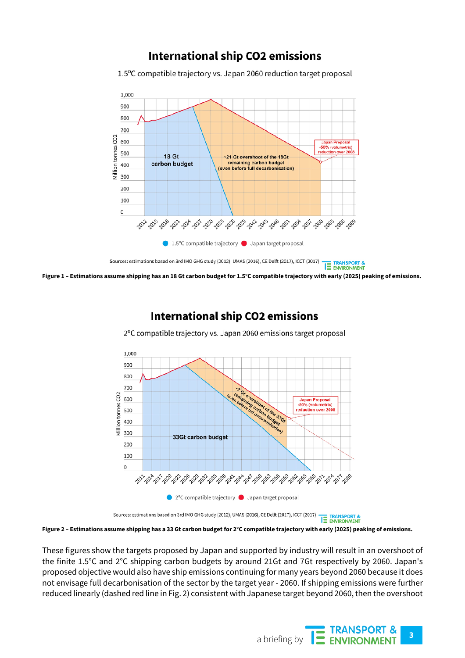### **International ship CO2 emissions**

1.5°C compatible trajectory vs. Japan 2060 reduction target proposal



Sources: estimations based on 3rd IMO GHG study (2012), UMAS (2016), CE Delft (2017), ICCT (2017) **TE TRANSPORT & Figure 1 – Estimations assume shipping has an 18 Gt carbon budget for 1.5°C compatible trajectory with early (2025) peaking of emissions.**

## **International ship CO2 emissions**

2°C compatible trajectory vs. Japan 2060 emissions target proposal



Sources: estimations based on 3rd IMO GHG study (2012), UMAS (2016), CE Delft (2017), ICCT (2017) **TE TRANSPORT &** 

**Figure 2 – Estimations assume shipping has a 33 Gt carbon budget for 2°C compatible trajectory with early (2025) peaking of emissions.**

These figures show the targets proposed by Japan and supported by industry will result in an overshoot of the finite 1.5°C and 2°C shipping carbon budgets by around 21Gt and 7Gt respectively by 2060. Japan's proposed objective would also have ship emissions continuing for many years beyond 2060 because it does not envisage full decarbonisation of the sector by the target year - 2060. If shipping emissions were further reduced linearly (dashed red line in Fig. 2) consistent with Japanese target beyond 2060, then the overshoot

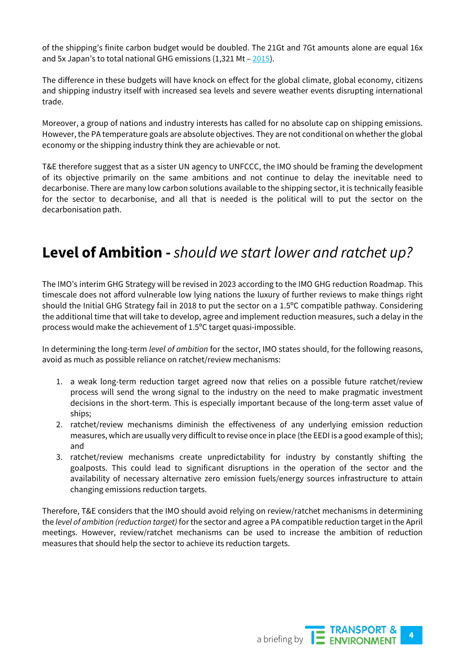of the shipping's finite carbon budget would be doubled. The 21Gt and 7Gt amounts alone are equal 16x and 5x Japan's to total national GHG emissions (1,321 Mt – [2015\)](https://www.env.go.jp/en/headline/2287.html).

The difference in these budgets will have knock on effect for the global climate, global economy, citizens and shipping industry itself with increased sea levels and severe weather events disrupting international trade.

Moreover, a group of nations and industry interests has called for no absolute cap on shipping emissions. However, the PA temperature goals are absolute objectives. They are not conditional on whether the global economy or the shipping industry think they are achievable or not.

T&E therefore suggest that as a sister UN agency to UNFCCC, the IMO should be framing the development of its objective primarily on the same ambitions and not continue to delay the inevitable need to decarbonise. There are many low carbon solutions available to the shipping sector, it is technically feasible for the sector to decarbonise, and all that is needed is the political will to put the sector on the decarbonisation path.

## **Level of Ambition -** *should we start lower and ratchet up?*

The IMO's interim GHG Strategy will be revised in 2023 according to the IMO GHG reduction Roadmap. This timescale does not afford vulnerable low lying nations the luxury of further reviews to make things right should the Initial GHG Strategy fail in 2018 to put the sector on a 1.5ºC compatible pathway. Considering the additional time that will take to develop, agree and implement reduction measures, such a delay in the process would make the achievement of 1.5ºC target quasi-impossible.

In determining the long-term *level of ambition* for the sector, IMO states should, for the following reasons, avoid as much as possible reliance on ratchet/review mechanisms:

- 1. a weak long-term reduction target agreed now that relies on a possible future ratchet/review process will send the wrong signal to the industry on the need to make pragmatic investment decisions in the short-term. This is especially important because of the long-term asset value of ships;
- 2. ratchet/review mechanisms diminish the effectiveness of any underlying emission reduction measures, which are usually very difficult to revise once in place (the EEDI is a good example of this); and
- 3. ratchet/review mechanisms create unpredictability for industry by constantly shifting the goalposts. This could lead to significant disruptions in the operation of the sector and the availability of necessary alternative zero emission fuels/energy sources infrastructure to attain changing emissions reduction targets.

Therefore, T&E considers that the IMO should avoid relying on review/ratchet mechanisms in determining the *level of ambition (reduction target)* for the sector and agree a PA compatible reduction target in the April meetings. However, review/ratchet mechanisms can be used to increase the ambition of reduction measures that should help the sector to achieve its reduction targets.

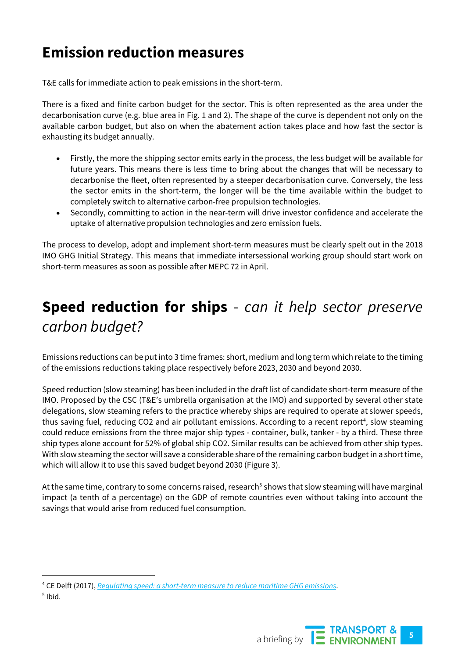# **Emission reduction measures**

T&E calls for immediate action to peak emissions in the short-term.

There is a fixed and finite carbon budget for the sector. This is often represented as the area under the decarbonisation curve (e.g. blue area in Fig. 1 and 2). The shape of the curve is dependent not only on the available carbon budget, but also on when the abatement action takes place and how fast the sector is exhausting its budget annually.

- Firstly, the more the shipping sector emits early in the process, the less budget will be available for future years. This means there is less time to bring about the changes that will be necessary to decarbonise the fleet, often represented by a steeper decarbonisation curve. Conversely, the less the sector emits in the short-term, the longer will be the time available within the budget to completely switch to alternative carbon-free propulsion technologies.
- Secondly, committing to action in the near-term will drive investor confidence and accelerate the uptake of alternative propulsion technologies and zero emission fuels.

The process to develop, adopt and implement short-term measures must be clearly spelt out in the 2018 IMO GHG Initial Strategy. This means that immediate intersessional working group should start work on short-term measures as soon as possible after MEPC 72 in April.

# **Speed reduction for ships** - *can it help sector preserve carbon budget?*

Emissions reductions can be put into 3 time frames: short, medium and long term which relate to the timing of the emissions reductions taking place respectively before 2023, 2030 and beyond 2030.

Speed reduction (slow steaming) has been included in the draft list of candidate short-term measure of the IMO. Proposed by the CSC (T&E's umbrella organisation at the IMO) and supported by several other state delegations, slow steaming refers to the practice whereby ships are required to operate at slower speeds, thus saving fuel, reducing CO2 and air pollutant emissions. According to a recent report<sup>[4](#page-4-0)</sup>, slow steaming could reduce emissions from the three major ship types - container, bulk, tanker - by a third. These three ship types alone account for 52% of global ship CO2. Similar results can be achieved from other ship types. With slow steaming the sector will save a considerable share of the remaining carbon budget in a short time, which will allow it to use this saved budget beyond 2030 (Figure 3).

At the same time, contrary to some concerns raised, research<sup>[5](#page-4-1)</sup> shows that slow steaming will have marginal impact (a tenth of a percentage) on the GDP of remote countries even without taking into account the savings that would arise from reduced fuel consumption.

<span id="page-4-1"></span><span id="page-4-0"></span> <sup>4</sup> CE Delft (2017), *[Regulating speed: a short-term measure to reduce maritime GHG emissions](http://www.cleanshipping.org/download/Slow-steaming-CE-Delft-final.pdf)*.  $<sup>5</sup>$  Ibid.</sup>

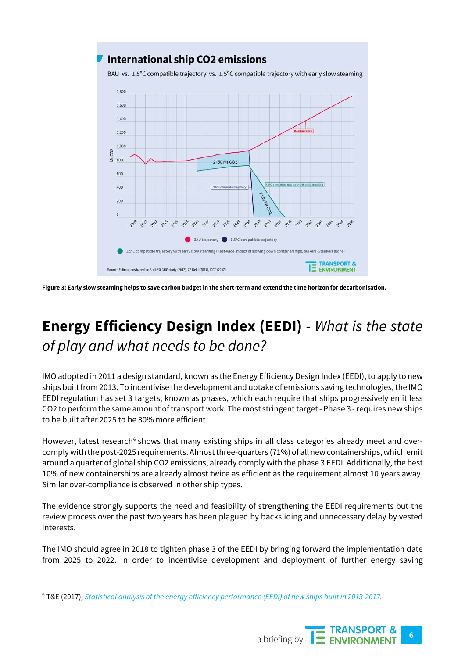

**Figure 3: Early slow steaming helps to save carbon budget in the short-term and extend the time horizon for decarbonisation.**

# **Energy Efficiency Design Index (EEDI)** - *What is the state of play and what needs to be done?*

IMO adopted in 2011 a design standard, known as the Energy Efficiency Design Index (EEDI), to apply to new ships built from 2013. To incentivise the development and uptake of emissions saving technologies, the IMO EEDI regulation has set 3 targets, known as phases, which each require that ships progressively emit less CO2 to perform the same amount of transport work. The most stringent target - Phase 3 - requires new ships to be built after 2025 to be 30% more efficient.

However, latest research<sup>[6](#page-5-0)</sup> shows that many existing ships in all class categories already meet and overcomply with the post-2025 requirements. Almost three-quarters (71%) of all new containerships, which emit around a quarter of global ship CO2 emissions, already comply with the phase 3 EEDI. Additionally, the best 10% of new containerships are already almost twice as efficient as the requirement almost 10 years away. Similar over-compliance is observed in other ship types.

The evidence strongly supports the need and feasibility of strengthening the EEDI requirements but the review process over the past two years has been plagued by backsliding and unnecessary delay by vested interests.

The IMO should agree in 2018 to tighten phase 3 of the EEDI by bringing forward the implementation date from 2025 to 2022. In order to incentivise development and deployment of further energy saving

<span id="page-5-0"></span> <sup>6</sup> T&E (2017), *[Statistical analysis of the energy efficiency performance \(EEDI\) of new ships built in 2013-2017.](https://www.transportenvironment.org/publications/statistical-analysis-energy-efficiency-performance-eedi-new-ships)*